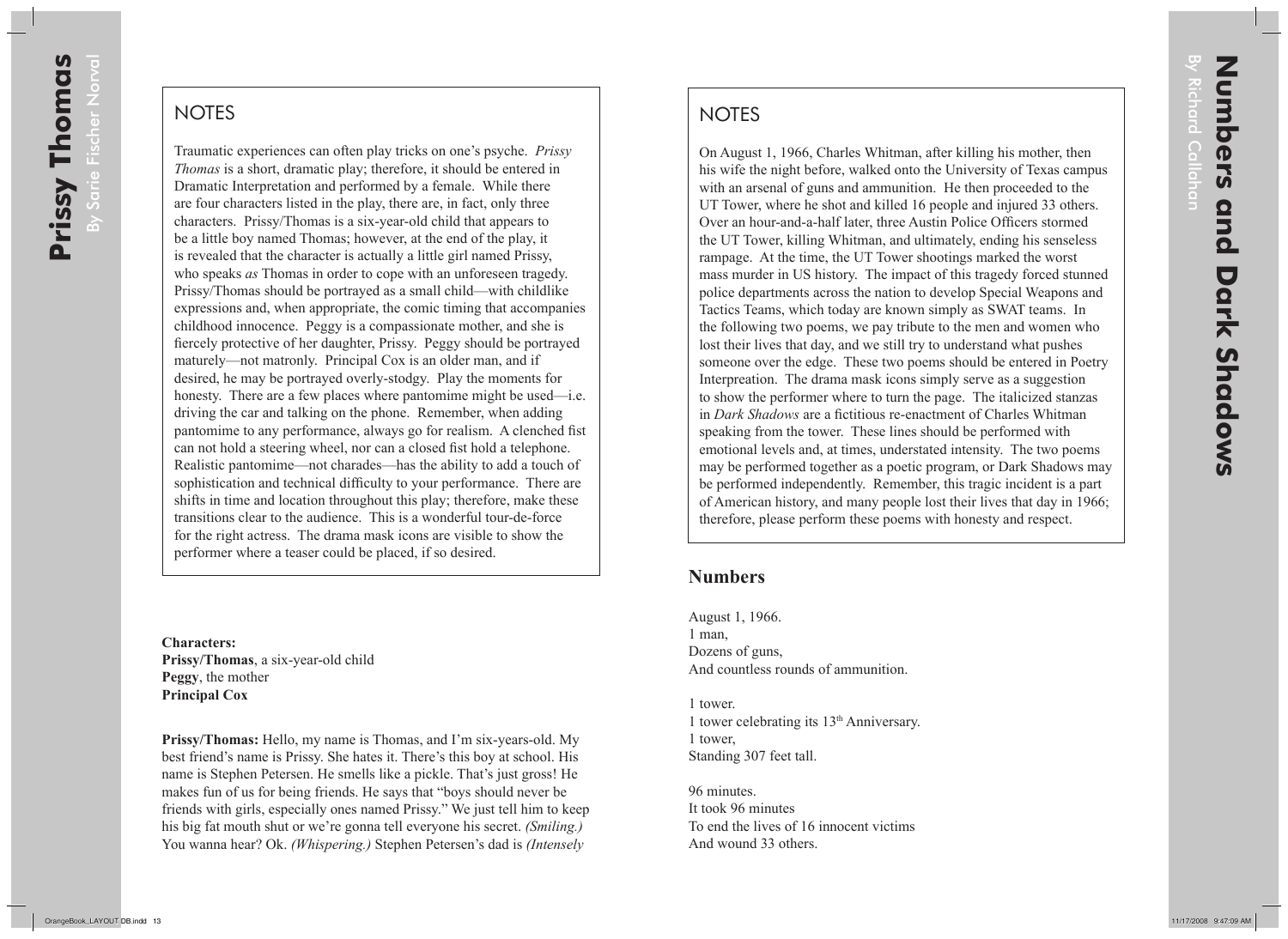## **NOTES**

On August 1, 1966, Charles Whitman, after killing his mother, then his wife the night before, walked onto the University of Texas campus with an arsenal of guns and ammunition. He then proceeded to the UT Tower, where he shot and killed 16 people and injured 33 others. Over an hour-and-a-half later, three Austin Police Officers stormed the UT Tower, killing Whitman, and ultimately, ending his senseless rampage. At the time, the UT Tower shootings marked the worst mass murder in US history. The impact of this tragedy forced stunned police departments across the nation to develop Special Weapons and Tactics Teams, which today are known simply as SWAT teams. In the following two poems, we pay tribute to the men and women who lost their lives that day, and we still try to understand what pushes someone over the edge. These two poems should be entered in Poetry Interpreation. The drama mask icons simply serve as a suggestion to show the performer where to turn the page. The italicized stanzas in *Dark Shadows* are a fictitious re-enactment of Charles Whitman speaking from the tower. These lines should be performed with emotional levels and, at times, understated intensity. The two poems may be performed together as a poetic program, or Dark Shadows may be performed independently. Remember, this tragic incident is a part of American history, and many people lost their lives that day in 1966; therefore, please perform these poems with honesty and respect.

## **Numbers**

August 1, 1966. 1 man, Dozens of guns, And countless rounds of ammunition.

1 tower. 1 tower celebrating its 13th Anniversary. 1 tower, Standing 307 feet tall.

96 minutes. It took 96 minutes To end the lives of 16 innocent victims And wound 33 others.

By Richard Callahan

*ichard* Callahan